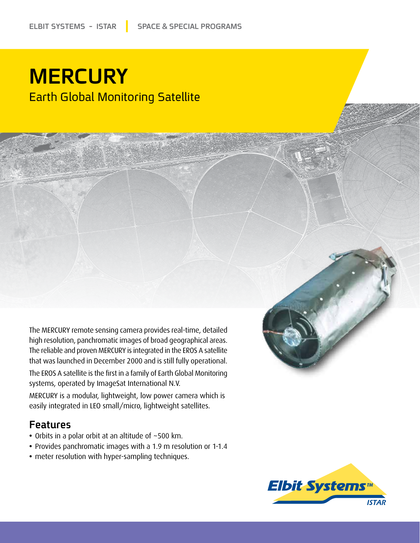# **MERCURY Earth Global Monitoring Satellite**

The MERCURY remote sensing camera provides real-time, detailed high resolution, panchromatic images of broad geographical areas. The reliable and proven MERCURY is integrated in the EROS A satellite that was launched in December 2000 and is still fully operational.

The EROS A satellite is the first in a family of Earth Global Monitoring systems, operated by ImageSat International N.V.

MERCURY is a modular, lightweight, low power camera which is easily integrated in LEO small/micro, lightweight satellites.

#### Features

- Orbits in a polar orbit at an altitude of ~500 km.
- Provides panchromatic images with a 1.9 m resolution or 1-1.4
- meter resolution with hyper-sampling techniques.